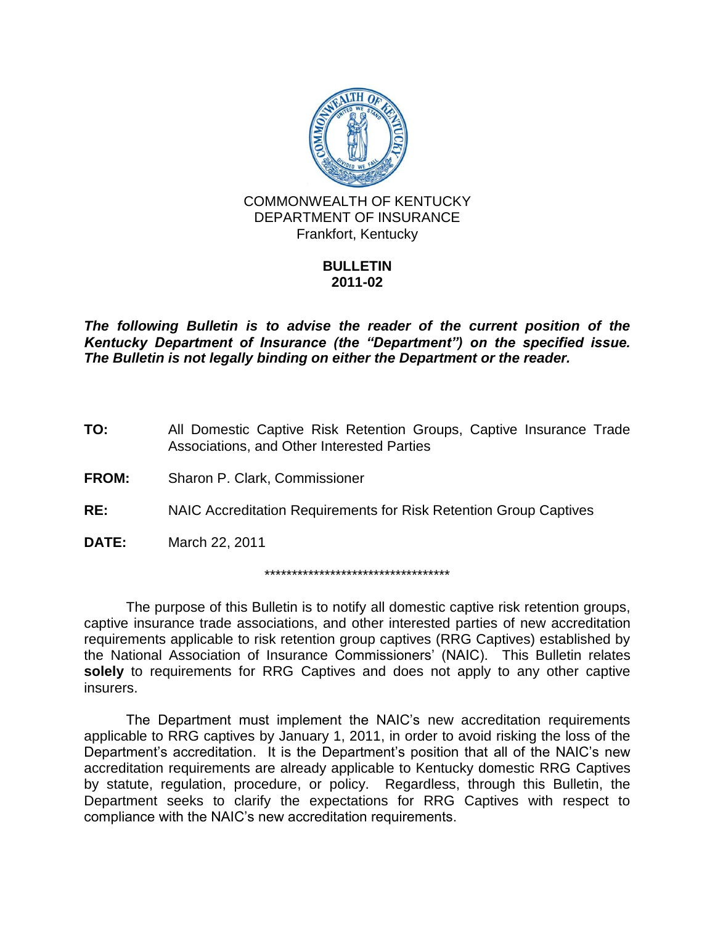

### **BULLETIN 2011-02**

*The following Bulletin is to advise the reader of the current position of the Kentucky Department of Insurance (the "Department") on the specified issue. The Bulletin is not legally binding on either the Department or the reader.*

**TO:** All Domestic Captive Risk Retention Groups, Captive Insurance Trade Associations, and Other Interested Parties

**FROM:** Sharon P. Clark, Commissioner

**RE:** NAIC Accreditation Requirements for Risk Retention Group Captives

**DATE:** March 22, 2011

\*\*\*\*\*\*\*\*\*\*\*\*\*\*\*\*\*\*\*\*\*\*\*\*\*\*\*\*\*\*\*\*\*\*

The purpose of this Bulletin is to notify all domestic captive risk retention groups, captive insurance trade associations, and other interested parties of new accreditation requirements applicable to risk retention group captives (RRG Captives) established by the National Association of Insurance Commissioners' (NAIC). This Bulletin relates **solely** to requirements for RRG Captives and does not apply to any other captive insurers.

The Department must implement the NAIC's new accreditation requirements applicable to RRG captives by January 1, 2011, in order to avoid risking the loss of the Department's accreditation. It is the Department's position that all of the NAIC's new accreditation requirements are already applicable to Kentucky domestic RRG Captives by statute, regulation, procedure, or policy. Regardless, through this Bulletin, the Department seeks to clarify the expectations for RRG Captives with respect to compliance with the NAIC's new accreditation requirements.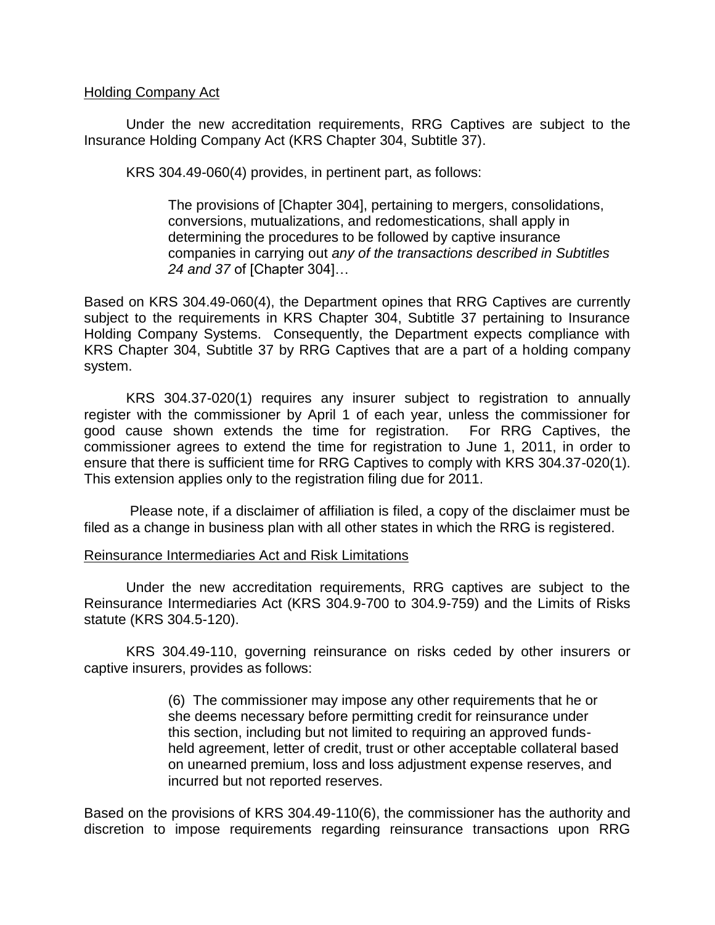#### Holding Company Act

Under the new accreditation requirements, RRG Captives are subject to the Insurance Holding Company Act (KRS Chapter 304, Subtitle 37).

KRS 304.49-060(4) provides, in pertinent part, as follows:

The provisions of [Chapter 304], pertaining to mergers, consolidations, conversions, mutualizations, and redomestications, shall apply in determining the procedures to be followed by captive insurance companies in carrying out *any of the transactions described in Subtitles 24 and 37* of [Chapter 304]…

Based on KRS 304.49-060(4), the Department opines that RRG Captives are currently subject to the requirements in KRS Chapter 304, Subtitle 37 pertaining to Insurance Holding Company Systems. Consequently, the Department expects compliance with KRS Chapter 304, Subtitle 37 by RRG Captives that are a part of a holding company system.

KRS 304.37-020(1) requires any insurer subject to registration to annually register with the commissioner by April 1 of each year, unless the commissioner for good cause shown extends the time for registration. For RRG Captives, the commissioner agrees to extend the time for registration to June 1, 2011, in order to ensure that there is sufficient time for RRG Captives to comply with KRS 304.37-020(1). This extension applies only to the registration filing due for 2011.

Please note, if a disclaimer of affiliation is filed, a copy of the disclaimer must be filed as a change in business plan with all other states in which the RRG is registered.

### Reinsurance Intermediaries Act and Risk Limitations

Under the new accreditation requirements, RRG captives are subject to the Reinsurance Intermediaries Act (KRS 304.9-700 to 304.9-759) and the Limits of Risks statute (KRS 304.5-120).

KRS 304.49-110, governing reinsurance on risks ceded by other insurers or captive insurers, provides as follows:

> (6) The commissioner may impose any other requirements that he or she deems necessary before permitting credit for reinsurance under this section, including but not limited to requiring an approved fundsheld agreement, letter of credit, trust or other acceptable collateral based on unearned premium, loss and loss adjustment expense reserves, and incurred but not reported reserves.

Based on the provisions of KRS 304.49-110(6), the commissioner has the authority and discretion to impose requirements regarding reinsurance transactions upon RRG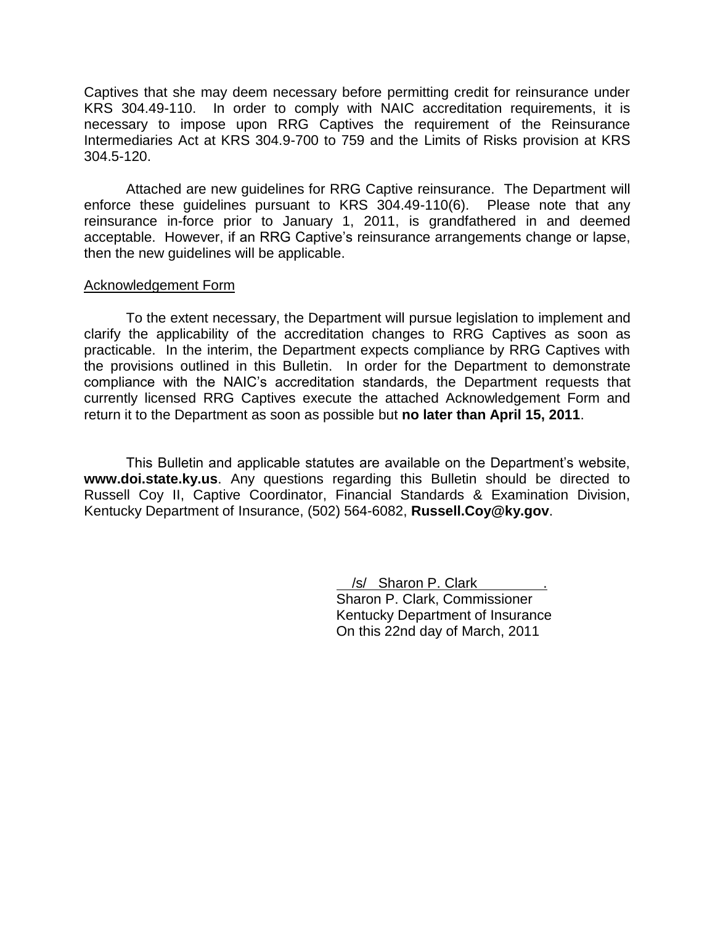Captives that she may deem necessary before permitting credit for reinsurance under KRS 304.49-110. In order to comply with NAIC accreditation requirements, it is necessary to impose upon RRG Captives the requirement of the Reinsurance Intermediaries Act at KRS 304.9-700 to 759 and the Limits of Risks provision at KRS 304.5-120.

Attached are new guidelines for RRG Captive reinsurance. The Department will enforce these guidelines pursuant to KRS 304.49-110(6). Please note that any reinsurance in-force prior to January 1, 2011, is grandfathered in and deemed acceptable. However, if an RRG Captive's reinsurance arrangements change or lapse, then the new guidelines will be applicable.

#### Acknowledgement Form

To the extent necessary, the Department will pursue legislation to implement and clarify the applicability of the accreditation changes to RRG Captives as soon as practicable. In the interim, the Department expects compliance by RRG Captives with the provisions outlined in this Bulletin. In order for the Department to demonstrate compliance with the NAIC's accreditation standards, the Department requests that currently licensed RRG Captives execute the attached Acknowledgement Form and return it to the Department as soon as possible but **no later than April 15, 2011**.

This Bulletin and applicable statutes are available on the Department's website, **www.doi.state.ky.us**. Any questions regarding this Bulletin should be directed to Russell Coy II, Captive Coordinator, Financial Standards & Examination Division, Kentucky Department of Insurance, (502) 564-6082, **Russell.Coy@ky.gov**.

> /s/ Sharon P. Clark . Sharon P. Clark, Commissioner Kentucky Department of Insurance On this 22nd day of March, 2011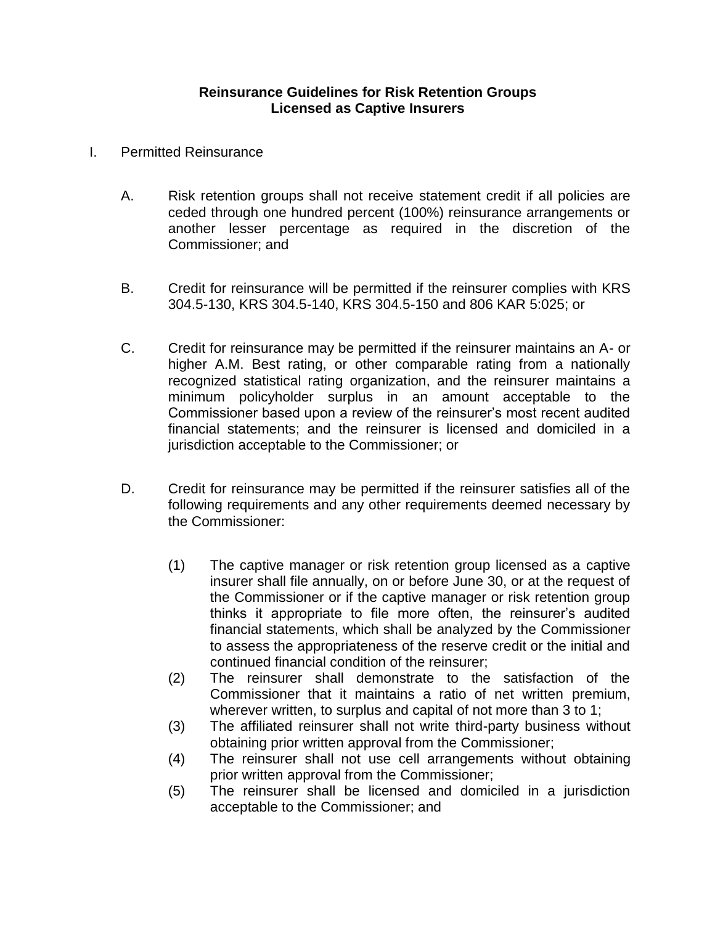## **Reinsurance Guidelines for Risk Retention Groups Licensed as Captive Insurers**

- I. Permitted Reinsurance
	- A. Risk retention groups shall not receive statement credit if all policies are ceded through one hundred percent (100%) reinsurance arrangements or another lesser percentage as required in the discretion of the Commissioner; and
	- B. Credit for reinsurance will be permitted if the reinsurer complies with KRS 304.5-130, KRS 304.5-140, KRS 304.5-150 and 806 KAR 5:025; or
	- C. Credit for reinsurance may be permitted if the reinsurer maintains an A- or higher A.M. Best rating, or other comparable rating from a nationally recognized statistical rating organization, and the reinsurer maintains a minimum policyholder surplus in an amount acceptable to the Commissioner based upon a review of the reinsurer's most recent audited financial statements; and the reinsurer is licensed and domiciled in a jurisdiction acceptable to the Commissioner; or
	- D. Credit for reinsurance may be permitted if the reinsurer satisfies all of the following requirements and any other requirements deemed necessary by the Commissioner:
		- (1) The captive manager or risk retention group licensed as a captive insurer shall file annually, on or before June 30, or at the request of the Commissioner or if the captive manager or risk retention group thinks it appropriate to file more often, the reinsurer's audited financial statements, which shall be analyzed by the Commissioner to assess the appropriateness of the reserve credit or the initial and continued financial condition of the reinsurer;
		- (2) The reinsurer shall demonstrate to the satisfaction of the Commissioner that it maintains a ratio of net written premium, wherever written, to surplus and capital of not more than 3 to 1;
		- (3) The affiliated reinsurer shall not write third-party business without obtaining prior written approval from the Commissioner;
		- (4) The reinsurer shall not use cell arrangements without obtaining prior written approval from the Commissioner;
		- (5) The reinsurer shall be licensed and domiciled in a jurisdiction acceptable to the Commissioner; and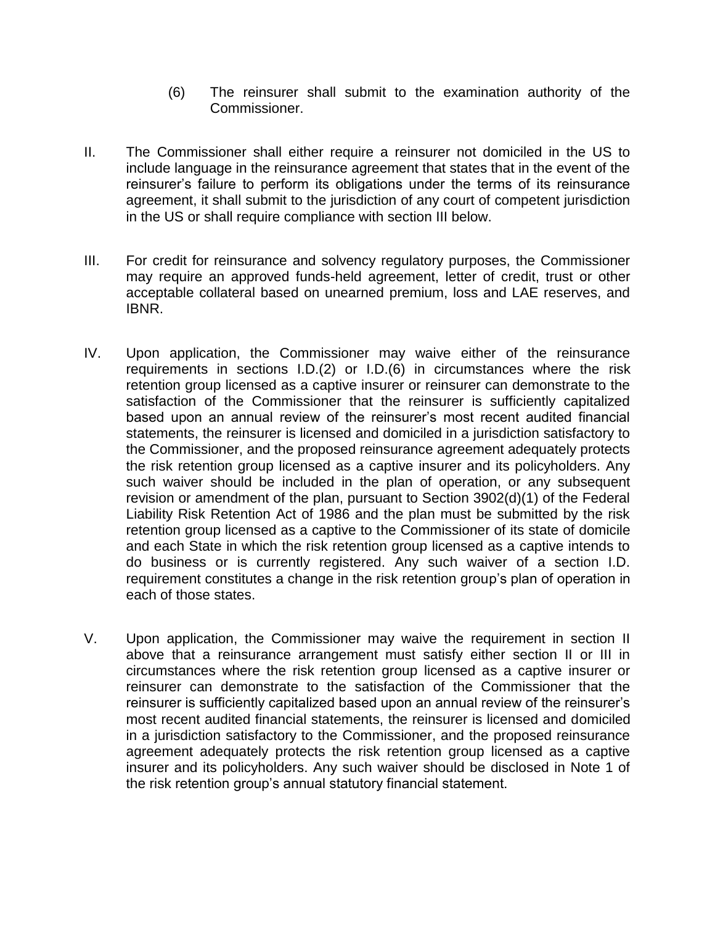- (6) The reinsurer shall submit to the examination authority of the Commissioner.
- II. The Commissioner shall either require a reinsurer not domiciled in the US to include language in the reinsurance agreement that states that in the event of the reinsurer's failure to perform its obligations under the terms of its reinsurance agreement, it shall submit to the jurisdiction of any court of competent jurisdiction in the US or shall require compliance with section III below.
- III. For credit for reinsurance and solvency regulatory purposes, the Commissioner may require an approved funds-held agreement, letter of credit, trust or other acceptable collateral based on unearned premium, loss and LAE reserves, and IBNR.
- IV. Upon application, the Commissioner may waive either of the reinsurance requirements in sections I.D.(2) or I.D.(6) in circumstances where the risk retention group licensed as a captive insurer or reinsurer can demonstrate to the satisfaction of the Commissioner that the reinsurer is sufficiently capitalized based upon an annual review of the reinsurer's most recent audited financial statements, the reinsurer is licensed and domiciled in a jurisdiction satisfactory to the Commissioner, and the proposed reinsurance agreement adequately protects the risk retention group licensed as a captive insurer and its policyholders. Any such waiver should be included in the plan of operation, or any subsequent revision or amendment of the plan, pursuant to Section 3902(d)(1) of the Federal Liability Risk Retention Act of 1986 and the plan must be submitted by the risk retention group licensed as a captive to the Commissioner of its state of domicile and each State in which the risk retention group licensed as a captive intends to do business or is currently registered. Any such waiver of a section I.D. requirement constitutes a change in the risk retention group's plan of operation in each of those states.
- V. Upon application, the Commissioner may waive the requirement in section II above that a reinsurance arrangement must satisfy either section II or III in circumstances where the risk retention group licensed as a captive insurer or reinsurer can demonstrate to the satisfaction of the Commissioner that the reinsurer is sufficiently capitalized based upon an annual review of the reinsurer's most recent audited financial statements, the reinsurer is licensed and domiciled in a jurisdiction satisfactory to the Commissioner, and the proposed reinsurance agreement adequately protects the risk retention group licensed as a captive insurer and its policyholders. Any such waiver should be disclosed in Note 1 of the risk retention group's annual statutory financial statement.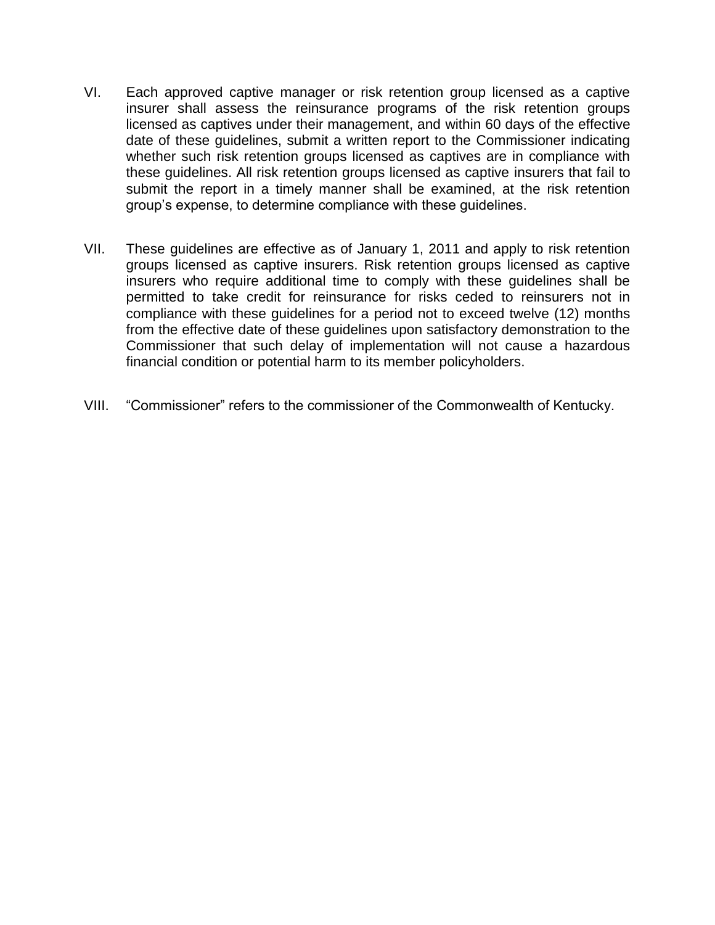- VI. Each approved captive manager or risk retention group licensed as a captive insurer shall assess the reinsurance programs of the risk retention groups licensed as captives under their management, and within 60 days of the effective date of these guidelines, submit a written report to the Commissioner indicating whether such risk retention groups licensed as captives are in compliance with these guidelines. All risk retention groups licensed as captive insurers that fail to submit the report in a timely manner shall be examined, at the risk retention group's expense, to determine compliance with these guidelines.
- VII. These guidelines are effective as of January 1, 2011 and apply to risk retention groups licensed as captive insurers. Risk retention groups licensed as captive insurers who require additional time to comply with these guidelines shall be permitted to take credit for reinsurance for risks ceded to reinsurers not in compliance with these guidelines for a period not to exceed twelve (12) months from the effective date of these guidelines upon satisfactory demonstration to the Commissioner that such delay of implementation will not cause a hazardous financial condition or potential harm to its member policyholders.
- VIII. "Commissioner" refers to the commissioner of the Commonwealth of Kentucky.